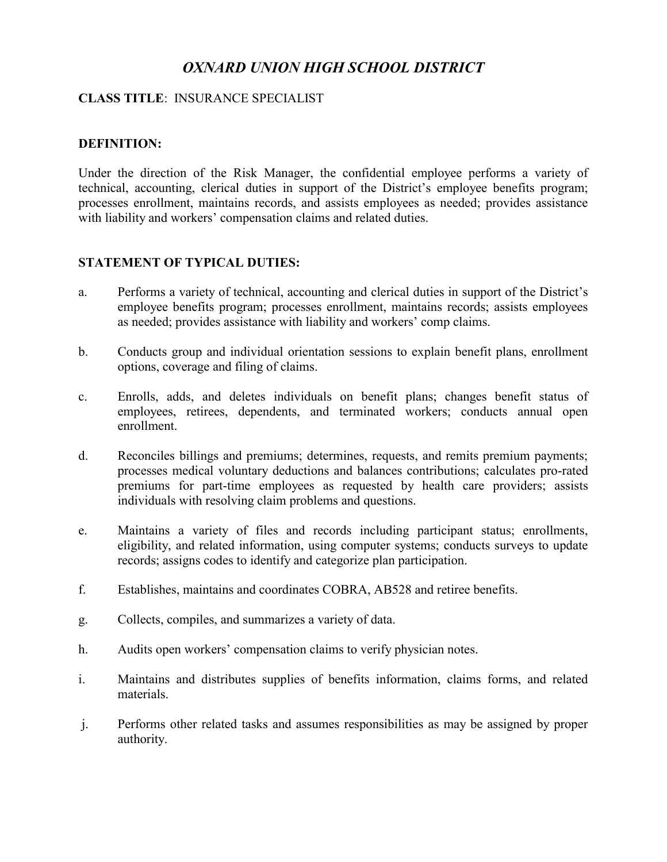# *OXNARD UNION HIGH SCHOOL DISTRICT*

## **CLASS TITLE**: INSURANCE SPECIALIST

## **DEFINITION:**

Under the direction of the Risk Manager, the confidential employee performs a variety of technical, accounting, clerical duties in support of the District's employee benefits program; processes enrollment, maintains records, and assists employees as needed; provides assistance with liability and workers' compensation claims and related duties.

## **STATEMENT OF TYPICAL DUTIES:**

- a. Performs a variety of technical, accounting and clerical duties in support of the District's employee benefits program; processes enrollment, maintains records; assists employees as needed; provides assistance with liability and workers' comp claims.
- b. Conducts group and individual orientation sessions to explain benefit plans, enrollment options, coverage and filing of claims.
- c. Enrolls, adds, and deletes individuals on benefit plans; changes benefit status of employees, retirees, dependents, and terminated workers; conducts annual open enrollment.
- d. Reconciles billings and premiums; determines, requests, and remits premium payments; processes medical voluntary deductions and balances contributions; calculates pro-rated premiums for part-time employees as requested by health care providers; assists individuals with resolving claim problems and questions.
- e. Maintains a variety of files and records including participant status; enrollments, eligibility, and related information, using computer systems; conducts surveys to update records; assigns codes to identify and categorize plan participation.
- f. Establishes, maintains and coordinates COBRA, AB528 and retiree benefits.
- g. Collects, compiles, and summarizes a variety of data.
- h. Audits open workers' compensation claims to verify physician notes.
- i. Maintains and distributes supplies of benefits information, claims forms, and related materials.
- j. Performs other related tasks and assumes responsibilities as may be assigned by proper authority.